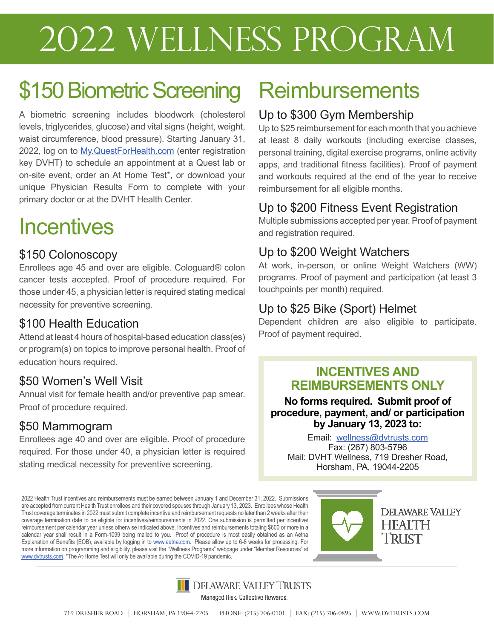# 2022 Wellness Program

# \$150 Biometric Screening

A biometric screening includes bloodwork (cholesterol levels, triglycerides, glucose) and vital signs (height, weight, waist circumference, blood pressure). Starting January 31, 2022, log on to My. Quest For Health.com (enter registration key DVHT) to schedule an appointment at a Quest lab or on-site event, order an At Home Test\*, or download your unique Physician Results Form to complete with your primary doctor or at the DVHT Health Center.

# **Incentives**

#### \$150 Colonoscopy

Enrollees age 45 and over are eligible. Cologuard® colon cancer tests accepted. Proof of procedure required. For those under 45, a physician letter is required stating medical necessity for preventive screening.

### \$100 Health Education

Attend at least 4 hours of hospital-based education class(es) or program(s) on topics to improve personal health. Proof of education hours required.

### \$50 Women's Well Visit

Annual visit for female health and/or preventive pap smear. Proof of procedure required.

#### \$50 Mammogram

Enrollees age 40 and over are eligible. Proof of procedure required. For those under 40, a physician letter is required stating medical necessity for preventive screening.

2022 Health Trust incentives and reimbursements must be earned between January 1 and December 31, 2022. Submissions are accepted from current Health Trust enrollees and their covered spouses through January 13, 2023. Enrollees whose Health Trust coverage terminates in 2022 must submit complete incentive and reimbursement requests no later than 2 weeks after their coverage termination date to be eligible for incentives/reimbursements in 2022. One submission is permitted per incentive/ reimbursement per calendar year unless otherwise indicated above. Incentives and reimbursements totaling \$600 or more in a calendar year shall result in a Form-1099 being mailed to you. Proof of procedure is most easily obtained as an Aetna Explanation of Benefits (EOB), available by logging in to www.aetna.com. Please allow up to 6-8 weeks for processing. For more information on programming and eligibility, please visit the "Wellness Programs" webpage under "Member Resources" at www.dvtrusts.com. \*The At-Home Test will only be available during the COVID-19 pandemic.

# **Reimbursements**

#### Up to \$300 Gym Membership

Up to \$25 reimbursement for each month that you achieve at least 8 daily workouts (including exercise classes, personal training, digital exercise programs, online activity apps, and traditional fitness facilities). Proof of payment and workouts required at the end of the year to receive reimbursement for all eligible months.

## Up to \$200 Fitness Event Registration

Multiple submissions accepted per year. Proof of payment and registration required.

### Up to \$200 Weight Watchers

At work, in-person, or online Weight Watchers (WW) programs. Proof of payment and participation (at least 3 touchpoints per month) required.

## Up to \$25 Bike (Sport) Helmet

Dependent children are also eligible to participate. Proof of payment required.

#### **INCENTIVES AND REIMBURSEMENTS ONLY**

#### **No forms required. Submit proof of procedure, payment, and/ or participation by January 13, 2023 to:**

Email: wellness@dvtrusts.com Fax: (267) 803-5796 Mail: DVHT Wellness, 719 Dresher Road, Horsham, PA, 19044-2205





Managed Risk. Collective Rewards.